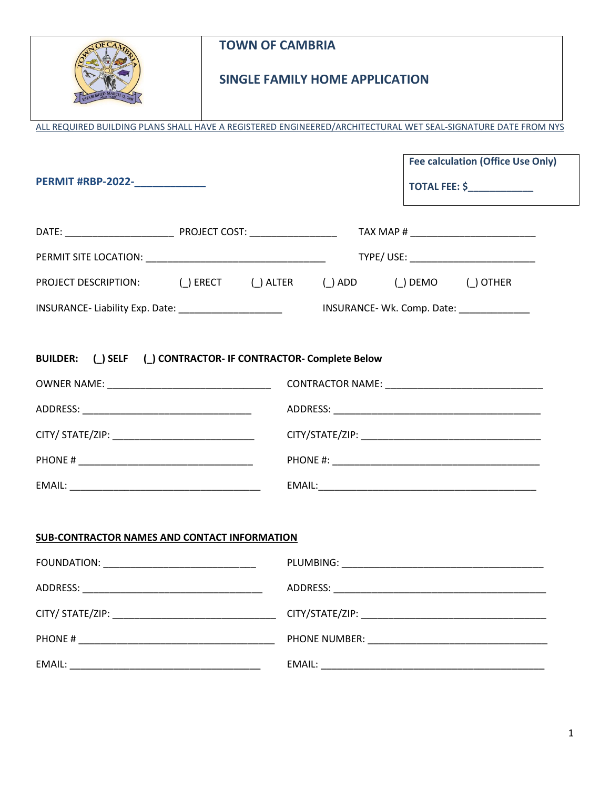| <b>TOWN OF CAMBRIA</b><br><b>SINGLE FAMILY HOME APPLICATION</b><br>ALL REQUIRED BUILDING PLANS SHALL HAVE A REGISTERED ENGINEERED/ARCHITECTURAL WET SEAL-SIGNATURE DATE FROM NYS |                                           |  |  |
|----------------------------------------------------------------------------------------------------------------------------------------------------------------------------------|-------------------------------------------|--|--|
| PERMIT #RBP-2022-                                                                                                                                                                | <b>Fee calculation (Office Use Only)</b>  |  |  |
|                                                                                                                                                                                  |                                           |  |  |
|                                                                                                                                                                                  |                                           |  |  |
| PROJECT DESCRIPTION: ( ) ERECT ( ) ALTER ( ) ADD ( ) DEMO ( ) OTHER                                                                                                              |                                           |  |  |
|                                                                                                                                                                                  | INSURANCE- Wk. Comp. Date: ______________ |  |  |
| BUILDER: (_) SELF (_) CONTRACTOR- IF CONTRACTOR- Complete Below                                                                                                                  |                                           |  |  |
|                                                                                                                                                                                  |                                           |  |  |
|                                                                                                                                                                                  |                                           |  |  |
| SUB-CONTRACTOR NAMES AND CONTACT INFORMATION                                                                                                                                     |                                           |  |  |
|                                                                                                                                                                                  |                                           |  |  |
|                                                                                                                                                                                  |                                           |  |  |
|                                                                                                                                                                                  |                                           |  |  |
|                                                                                                                                                                                  |                                           |  |  |
|                                                                                                                                                                                  |                                           |  |  |